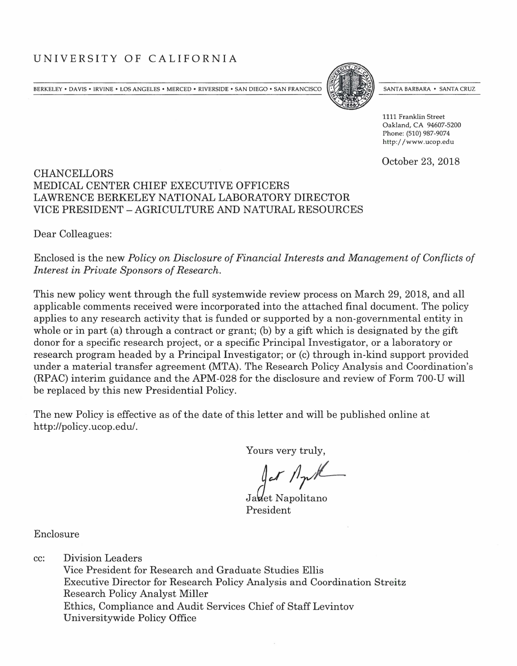# UNIVERSITY OF CALIFORNIA

BERKELEY • DA VIS • IRVINE • LOS ANGELES • MERCED • RIVERSIDE • SAN DIEGO • SAN FRANCISCO



SANTA BARBARA • SANTA CRUZ

1111 Franklin Street Oakland, CA 94607-5200 Phone: (510) 987-9074 h ttp:/ /www.ucop.edu

October 23, 2018

#### **CHANCELLORS** MEDICAL CENTER CHIEF EXECUTIVE OFFICERS LAWRENCE BERKELEY NATIONAL LABORATORY DIRECTOR VICE PRESIDENT -AGRICULTURE AND NATURAL RESOURCES

Dear Colleagues:

Enclosed is the new *Policy on Disclosure of Financial Interests and Management of Conflicts of Interest in Private Sponsors of Research.* 

This new policy went through the full systemwide review process on March 29, 2018, and all applicable comments received were incorporated into the attached final document. The policy applies to any research activity that is funded or supported by a non-governmental entity in whole or in part (a) through a contract or grant; (b) by a gift which is designated by the gift donor for a specific research project, or a specific Principal Investigator, or a laboratory or research program headed by a Principal Investigator; or (c) through in-kind support provided under a material transfer agreement (MTA). The Research Policy Analysis and Coordination's (RPAC) interim guidance and the APM-028 for the disclosure and review of Form 700-U will be replaced by this new Presidential Policy.

The new Policy is effective as of the date of this letter and will be published online at http://policy.ucop.edu/.

Yours very truly,

Ja**v**et Napolitano President

Enclosure

cc: Division Leaders

Vice President for Research and Graduate Studies Ellis Executive Director for Research Policy Analysis and Coordination Streitz Research Policy Analyst Miller Ethics, Compliance and Audit Services Chief of Staff Levintov Universitywide Policy Office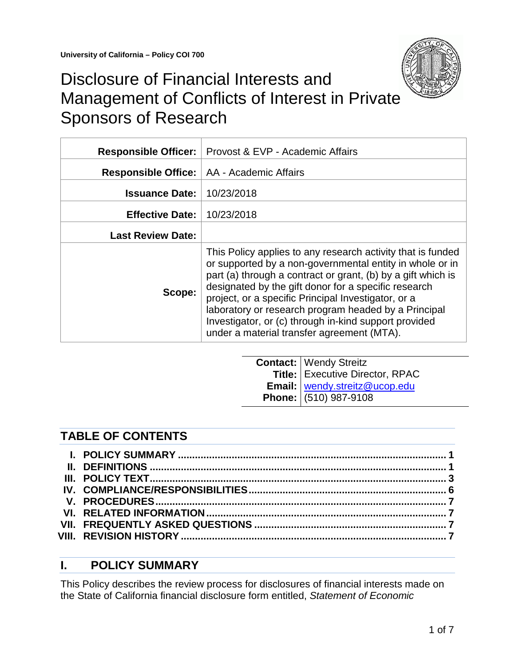

# Disclosure of Financial Interests and Management of Conflicts of Interest in Private Sponsors of Research

| <b>Responsible Officer:</b> | Provost & EVP - Academic Affairs                                                                                                                                                                                                                                                                                                                                                                                                                                      |
|-----------------------------|-----------------------------------------------------------------------------------------------------------------------------------------------------------------------------------------------------------------------------------------------------------------------------------------------------------------------------------------------------------------------------------------------------------------------------------------------------------------------|
| <b>Responsible Office:</b>  | AA - Academic Affairs                                                                                                                                                                                                                                                                                                                                                                                                                                                 |
| <b>Issuance Date:</b>       | 10/23/2018                                                                                                                                                                                                                                                                                                                                                                                                                                                            |
| <b>Effective Date:</b>      | 10/23/2018                                                                                                                                                                                                                                                                                                                                                                                                                                                            |
| <b>Last Review Date:</b>    |                                                                                                                                                                                                                                                                                                                                                                                                                                                                       |
| Scope:                      | This Policy applies to any research activity that is funded<br>or supported by a non-governmental entity in whole or in<br>part (a) through a contract or grant, (b) by a gift which is<br>designated by the gift donor for a specific research<br>project, or a specific Principal Investigator, or a<br>laboratory or research program headed by a Principal<br>Investigator, or (c) through in-kind support provided<br>under a material transfer agreement (MTA). |

| Contact: Wendy Streitz<br>Title: Executive Director, RPAC<br>Email: <u>wendy.streitz@ucop.edu</u><br>Phone: (510) 987-9108 |
|----------------------------------------------------------------------------------------------------------------------------|

# **TABLE OF CONTENTS**

## <span id="page-1-0"></span>**I. POLICY SUMMARY**

<span id="page-1-1"></span>This Policy describes the review process for disclosures of financial interests made on the State of California financial disclosure form entitled, *Statement of Economic*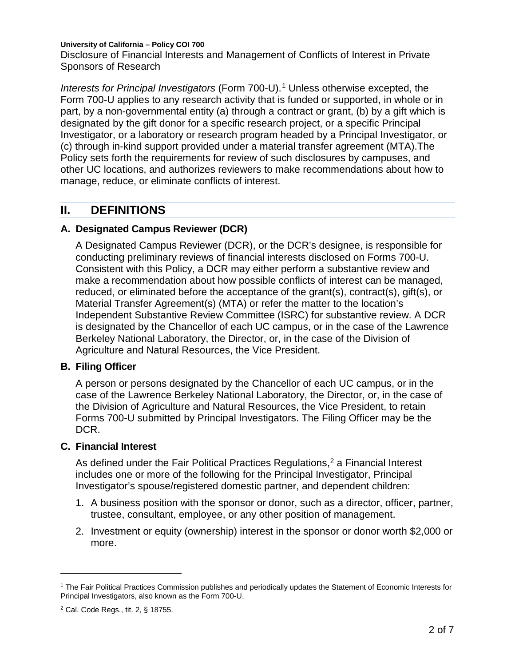Disclosure of Financial Interests and Management of Conflicts of Interest in Private Sponsors of Research

*Interests for Principal Investigators* (Form 700-U). [1](#page-2-0) Unless otherwise excepted, the Form 700-U applies to any research activity that is funded or supported, in whole or in part, by a non-governmental entity (a) through a contract or grant, (b) by a gift which is designated by the gift donor for a specific research project, or a specific Principal Investigator, or a laboratory or research program headed by a Principal Investigator, or (c) through in-kind support provided under a material transfer agreement (MTA).The Policy sets forth the requirements for review of such disclosures by campuses, and other UC locations, and authorizes reviewers to make recommendations about how to manage, reduce, or eliminate conflicts of interest.

### **II. DEFINITIONS**

#### **A. Designated Campus Reviewer (DCR)**

A Designated Campus Reviewer (DCR), or the DCR's designee, is responsible for conducting preliminary reviews of financial interests disclosed on Forms 700-U. Consistent with this Policy, a DCR may either perform a substantive review and make a recommendation about how possible conflicts of interest can be managed, reduced, or eliminated before the acceptance of the grant(s), contract(s), gift(s), or Material Transfer Agreement(s) (MTA) or refer the matter to the location's Independent Substantive Review Committee (ISRC) for substantive review. A DCR is designated by the Chancellor of each UC campus, or in the case of the Lawrence Berkeley National Laboratory, the Director, or, in the case of the Division of Agriculture and Natural Resources, the Vice President.

#### **B. Filing Officer**

A person or persons designated by the Chancellor of each UC campus, or in the case of the Lawrence Berkeley National Laboratory, the Director, or, in the case of the Division of Agriculture and Natural Resources, the Vice President, to retain Forms 700-U submitted by Principal Investigators. The Filing Officer may be the DCR.

#### **C. Financial Interest**

As defined under the Fair Political Practices Regulations,<sup>[2](#page-2-1)</sup> a Financial Interest includes one or more of the following for the Principal Investigator, Principal Investigator's spouse/registered domestic partner, and dependent children:

- 1. A business position with the sponsor or donor, such as a director, officer, partner, trustee, consultant, employee, or any other position of management.
- 2. Investment or equity (ownership) interest in the sponsor or donor worth \$2,000 or more.

 $\overline{a}$ 

<span id="page-2-0"></span><sup>1</sup> The Fair Political Practices Commission publishes and periodically updates the Statement of Economic Interests for Principal Investigators, also known as the Form 700-U.

<span id="page-2-1"></span><sup>2</sup> Cal. Code Regs., tit. 2, § 18755.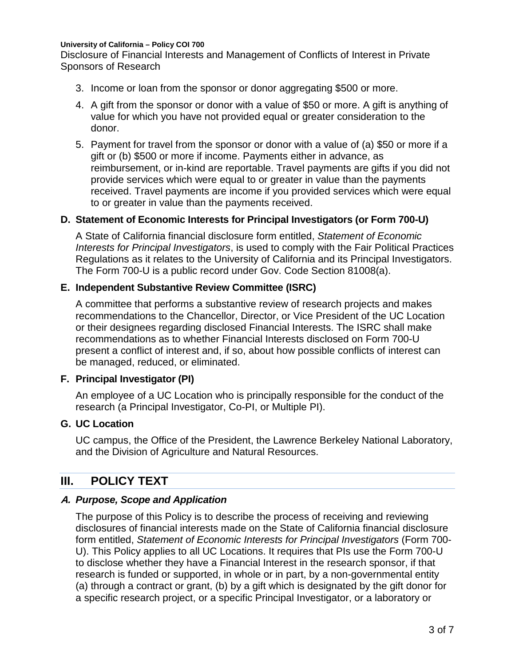Disclosure of Financial Interests and Management of Conflicts of Interest in Private Sponsors of Research

- 3. Income or loan from the sponsor or donor aggregating \$500 or more.
- 4. A gift from the sponsor or donor with a value of \$50 or more. A gift is anything of value for which you have not provided equal or greater consideration to the donor.
- 5. Payment for travel from the sponsor or donor with a value of (a) \$50 or more if a gift or (b) \$500 or more if income. Payments either in advance, as reimbursement, or in-kind are reportable. Travel payments are gifts if you did not provide services which were equal to or greater in value than the payments received. Travel payments are income if you provided services which were equal to or greater in value than the payments received.

#### **D. Statement of Economic Interests for Principal Investigators (or Form 700-U)**

A State of California financial disclosure form entitled, *Statement of Economic Interests for Principal Investigators*, is used to comply with the Fair Political Practices Regulations as it relates to the University of California and its Principal Investigators. The Form 700-U is a public record under Gov. Code Section 81008(a).

#### **E. Independent Substantive Review Committee (ISRC)**

A committee that performs a substantive review of research projects and makes recommendations to the Chancellor, Director, or Vice President of the UC Location or their designees regarding disclosed Financial Interests. The ISRC shall make recommendations as to whether Financial Interests disclosed on Form 700-U present a conflict of interest and, if so, about how possible conflicts of interest can be managed, reduced, or eliminated.

#### **F. Principal Investigator (PI)**

An employee of a UC Location who is principally responsible for the conduct of the research (a Principal Investigator, Co-PI, or Multiple PI).

#### **G. UC Location**

UC campus, the Office of the President, the Lawrence Berkeley National Laboratory, and the Division of Agriculture and Natural Resources.

### <span id="page-3-0"></span>**III. POLICY TEXT**

#### **A.** *Purpose, Scope and Application*

The purpose of this Policy is to describe the process of receiving and reviewing disclosures of financial interests made on the State of California financial disclosure form entitled, *Statement of Economic Interests for Principal Investigators* (Form 700- U). This Policy applies to all UC Locations. It requires that PIs use the Form 700-U to disclose whether they have a Financial Interest in the research sponsor, if that research is funded or supported, in whole or in part, by a non-governmental entity (a) through a contract or grant, (b) by a gift which is designated by the gift donor for a specific research project, or a specific Principal Investigator, or a laboratory or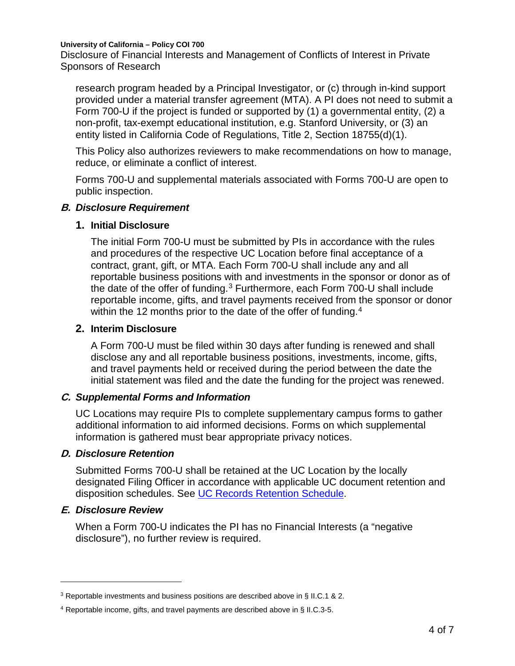Disclosure of Financial Interests and Management of Conflicts of Interest in Private Sponsors of Research

research program headed by a Principal Investigator, or (c) through in-kind support provided under a material transfer agreement (MTA). A PI does not need to submit a Form 700-U if the project is funded or supported by (1) a governmental entity, (2) a non-profit, tax-exempt educational institution, e.g. Stanford University, or (3) an entity listed in California Code of Regulations, Title 2, Section 18755(d)(1).

This Policy also authorizes reviewers to make recommendations on how to manage, reduce, or eliminate a conflict of interest.

Forms 700-U and supplemental materials associated with Forms 700-U are open to public inspection.

#### **B.** *Disclosure Requirement*

#### **1. Initial Disclosure**

The initial Form 700-U must be submitted by PIs in accordance with the rules and procedures of the respective UC Location before final acceptance of a contract, grant, gift, or MTA. Each Form 700-U shall include any and all reportable business positions with and investments in the sponsor or donor as of the date of the offer of funding.<sup>[3](#page-4-0)</sup> Furthermore, each Form 700-U shall include reportable income, gifts, and travel payments received from the sponsor or donor within the 12 months prior to the date of the offer of funding.<sup>[4](#page-4-1)</sup>

#### **2. Interim Disclosure**

A Form 700-U must be filed within 30 days after funding is renewed and shall disclose any and all reportable business positions, investments, income, gifts, and travel payments held or received during the period between the date the initial statement was filed and the date the funding for the project was renewed.

#### **C.** *Supplemental Forms and Information*

UC Locations may require PIs to complete supplementary campus forms to gather additional information to aid informed decisions. Forms on which supplemental information is gathered must bear appropriate privacy notices.

#### **D.** *Disclosure Retention*

Submitted Forms 700-U shall be retained at the UC Location by the locally designated Filing Officer in accordance with applicable UC document retention and disposition schedules. See [UC Records Retention Schedule.](http://recordsretention.ucop.edu/)

#### **E.** *Disclosure Review*

 $\overline{a}$ 

When a Form 700-U indicates the PI has no Financial Interests (a "negative disclosure"), no further review is required.

<span id="page-4-0"></span><sup>3</sup> Reportable investments and business positions are described above in § II.C.1 & 2.

<span id="page-4-1"></span><sup>4</sup> Reportable income, gifts, and travel payments are described above in § II.C.3-5.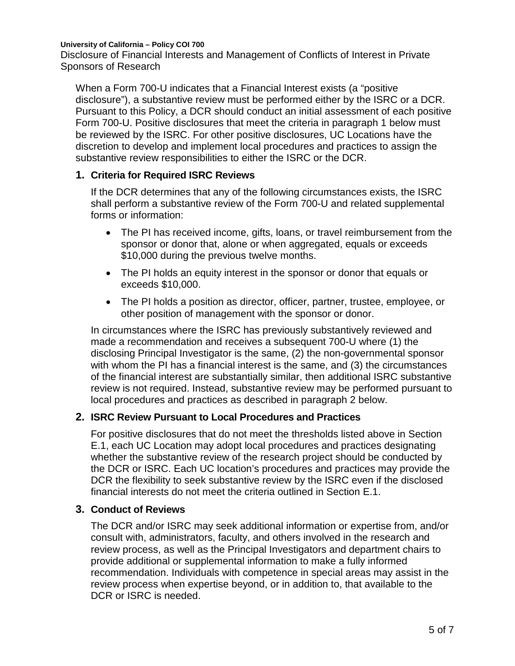Disclosure of Financial Interests and Management of Conflicts of Interest in Private Sponsors of Research

When a Form 700-U indicates that a Financial Interest exists (a "positive disclosure"), a substantive review must be performed either by the ISRC or a DCR. Pursuant to this Policy, a DCR should conduct an initial assessment of each positive Form 700-U. Positive disclosures that meet the criteria in paragraph 1 below must be reviewed by the ISRC. For other positive disclosures, UC Locations have the discretion to develop and implement local procedures and practices to assign the substantive review responsibilities to either the ISRC or the DCR.

#### **1. Criteria for Required ISRC Reviews**

If the DCR determines that any of the following circumstances exists, the ISRC shall perform a substantive review of the Form 700-U and related supplemental forms or information:

- The PI has received income, gifts, loans, or travel reimbursement from the sponsor or donor that, alone or when aggregated, equals or exceeds \$10,000 during the previous twelve months.
- The PI holds an equity interest in the sponsor or donor that equals or exceeds \$10,000.
- The PI holds a position as director, officer, partner, trustee, employee, or other position of management with the sponsor or donor.

In circumstances where the ISRC has previously substantively reviewed and made a recommendation and receives a subsequent 700-U where (1) the disclosing Principal Investigator is the same, (2) the non-governmental sponsor with whom the PI has a financial interest is the same, and (3) the circumstances of the financial interest are substantially similar, then additional ISRC substantive review is not required. Instead, substantive review may be performed pursuant to local procedures and practices as described in paragraph 2 below.

#### **2. ISRC Review Pursuant to Local Procedures and Practices**

For positive disclosures that do not meet the thresholds listed above in Section E.1, each UC Location may adopt local procedures and practices designating whether the substantive review of the research project should be conducted by the DCR or ISRC. Each UC location's procedures and practices may provide the DCR the flexibility to seek substantive review by the ISRC even if the disclosed financial interests do not meet the criteria outlined in Section E.1.

#### **3. Conduct of Reviews**

The DCR and/or ISRC may seek additional information or expertise from, and/or consult with, administrators, faculty, and others involved in the research and review process, as well as the Principal Investigators and department chairs to provide additional or supplemental information to make a fully informed recommendation. Individuals with competence in special areas may assist in the review process when expertise beyond, or in addition to, that available to the DCR or ISRC is needed.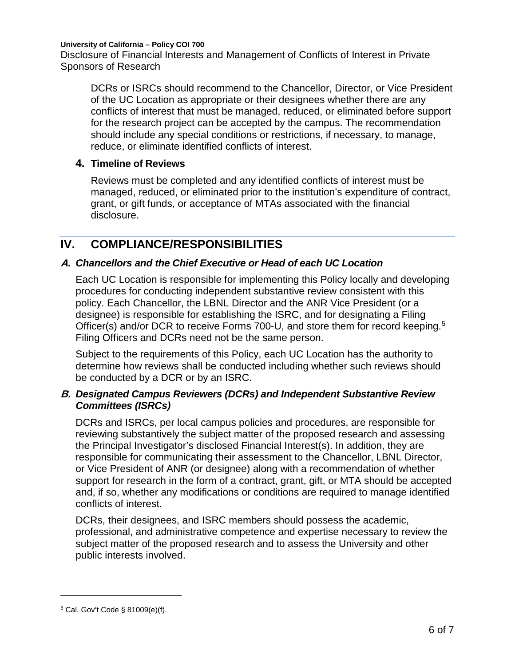Disclosure of Financial Interests and Management of Conflicts of Interest in Private Sponsors of Research

DCRs or ISRCs should recommend to the Chancellor, Director, or Vice President of the UC Location as appropriate or their designees whether there are any conflicts of interest that must be managed, reduced, or eliminated before support for the research project can be accepted by the campus. The recommendation should include any special conditions or restrictions, if necessary, to manage, reduce, or eliminate identified conflicts of interest.

#### **4. Timeline of Reviews**

Reviews must be completed and any identified conflicts of interest must be managed, reduced, or eliminated prior to the institution's expenditure of contract, grant, or gift funds, or acceptance of MTAs associated with the financial disclosure.

# <span id="page-6-0"></span>**IV. COMPLIANCE/RESPONSIBILITIES**

### **A.** *Chancellors and the Chief Executive or Head of each UC Location*

Each UC Location is responsible for implementing this Policy locally and developing procedures for conducting independent substantive review consistent with this policy. Each Chancellor, the LBNL Director and the ANR Vice President (or a designee) is responsible for establishing the ISRC, and for designating a Filing Officer(s) and/or DCR to receive Forms 700-U, and store them for record keeping.<sup>[5](#page-6-1)</sup> Filing Officers and DCRs need not be the same person.

Subject to the requirements of this Policy, each UC Location has the authority to determine how reviews shall be conducted including whether such reviews should be conducted by a DCR or by an ISRC.

#### **B.** *Designated Campus Reviewers (DCRs) and Independent Substantive Review Committees (ISRCs)*

DCRs and ISRCs, per local campus policies and procedures, are responsible for reviewing substantively the subject matter of the proposed research and assessing the Principal Investigator's disclosed Financial Interest(s). In addition, they are responsible for communicating their assessment to the Chancellor, LBNL Director, or Vice President of ANR (or designee) along with a recommendation of whether support for research in the form of a contract, grant, gift, or MTA should be accepted and, if so, whether any modifications or conditions are required to manage identified conflicts of interest.

DCRs, their designees, and ISRC members should possess the academic, professional, and administrative competence and expertise necessary to review the subject matter of the proposed research and to assess the University and other public interests involved.

 $\overline{a}$ 

<span id="page-6-1"></span><sup>5</sup> Cal. Gov't Code § 81009(e)(f).